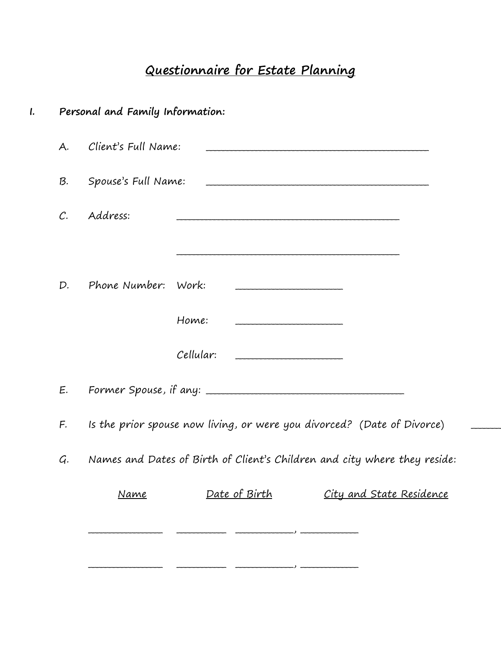## Questionnaire for Estate Planning

|                | Personal and Family Information: |               |                                                                           |
|----------------|----------------------------------|---------------|---------------------------------------------------------------------------|
| A.             | Client's Full Name:              |               |                                                                           |
| B.             | Spouse's Full Name:              |               |                                                                           |
| $\mathcal{C}.$ | Address:                         |               |                                                                           |
|                |                                  |               |                                                                           |
| D.             | Phone Number: Work:              |               |                                                                           |
|                |                                  | Home:         |                                                                           |
|                |                                  | Cellular:     |                                                                           |
| E.             |                                  |               |                                                                           |
| F.             |                                  |               | Is the prior spouse now living, or were you divorced? (Date of Divorce)   |
| G.             |                                  |               | Names and Dates of Birth of Client's Children and city where they reside: |
|                | Name                             | Date of Birth | <u>City and State Residence</u>                                           |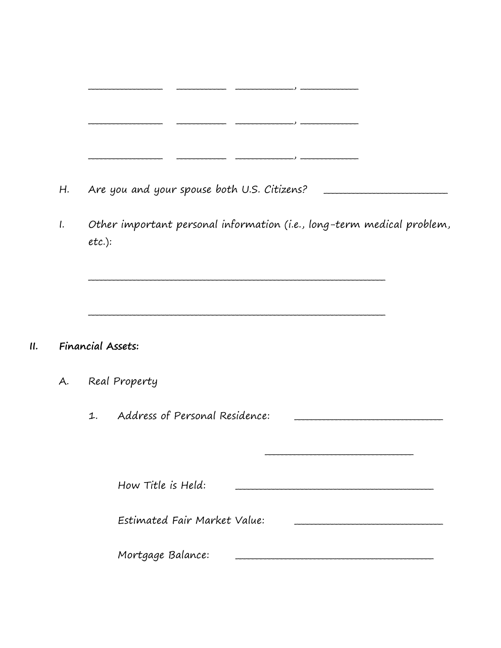- Are you and your spouse both U.S. Citizens? H.
- Other important personal information (i.e., long-term medical problem,  $\mathfrak{l}$ .  $etc.$ ):

## Financial Assets:  $II.$

- Real Property A.
	- Address of Personal Residence:  $1.$ How Title is Held: Estimated Fair Market Value: Mortgage Balance: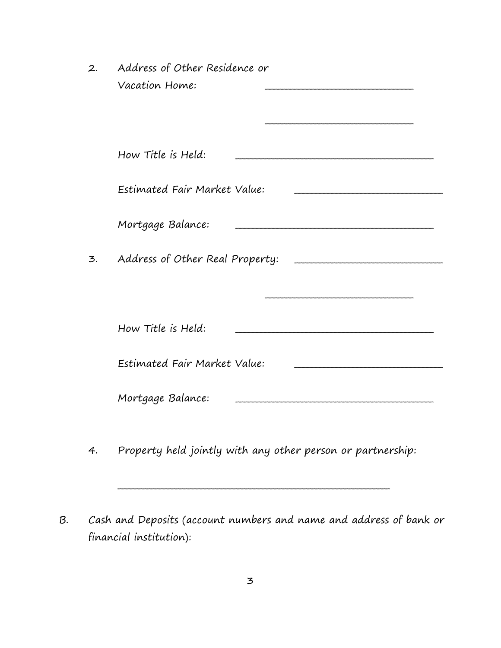| 2. | Address of Other Residence or                               |
|----|-------------------------------------------------------------|
|    | Vacation Home:                                              |
|    |                                                             |
|    |                                                             |
|    |                                                             |
|    | How Title is Held:                                          |
|    |                                                             |
|    | Estimated Fair Market Value:                                |
|    |                                                             |
|    | Mortgage Balance:                                           |
|    |                                                             |
| 3. | Address of Other Real Property:                             |
|    |                                                             |
|    |                                                             |
|    |                                                             |
|    | How Title is Held:                                          |
|    |                                                             |
|    | Estimated Fair Market Value:                                |
|    |                                                             |
|    | Mortgage Balance:                                           |
|    |                                                             |
|    |                                                             |
| 4. | Property held jointly with any other person or partnership: |
|    |                                                             |

B. Cash and Deposits (account numbers and name and address of bank or financial institution):

\_\_\_\_\_\_\_\_\_\_\_\_\_\_\_\_\_\_\_\_\_\_\_\_\_\_\_\_\_\_\_\_\_\_\_\_\_\_\_\_\_\_\_\_\_\_\_\_\_\_\_\_\_\_\_\_\_\_\_\_\_\_\_\_\_\_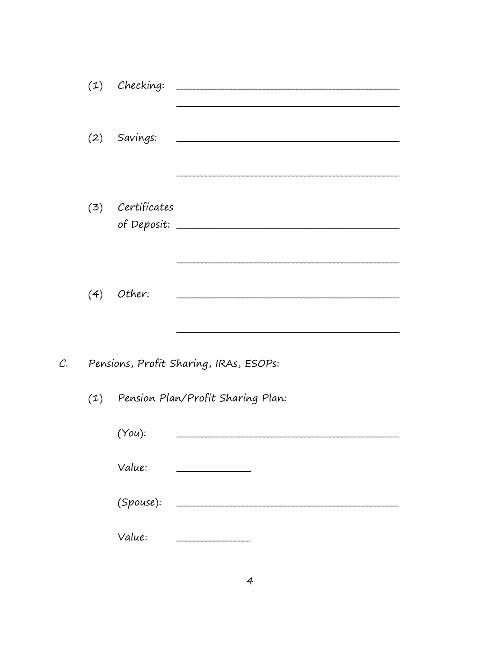|                | $(1)$ Checking:  |                                        |
|----------------|------------------|----------------------------------------|
|                | (2) Savings:     |                                        |
|                | (3) Certificates |                                        |
|                | $(4)$ Other:     |                                        |
| $\mathcal{C}.$ |                  | Pensions, Profit Sharing, IRAs, ESOPs: |
|                |                  | (1) Pension Plan/Profit Sharing Plan:  |
|                | (You):           |                                        |
|                | Value:           | .                                      |
|                | (Spouse):        |                                        |
|                | Value:           |                                        |
|                |                  |                                        |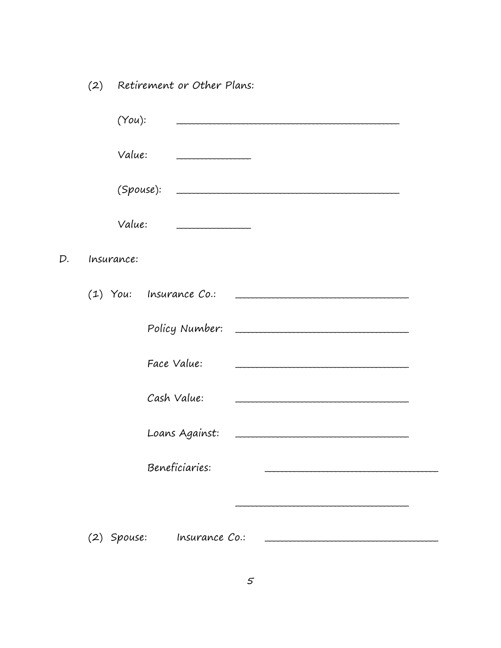(2) Retirement or Other Plans:

|    | $(You)$ :  |                           |
|----|------------|---------------------------|
|    | Value:     |                           |
|    | (Spouse):  |                           |
|    | Value:     |                           |
| D. | Insurance: |                           |
|    |            | $(1)$ You: Insurance Co.: |
|    |            |                           |
|    |            | Face Value:               |
|    |            | Cash Value:               |
|    |            |                           |
|    |            | Beneficiaries:            |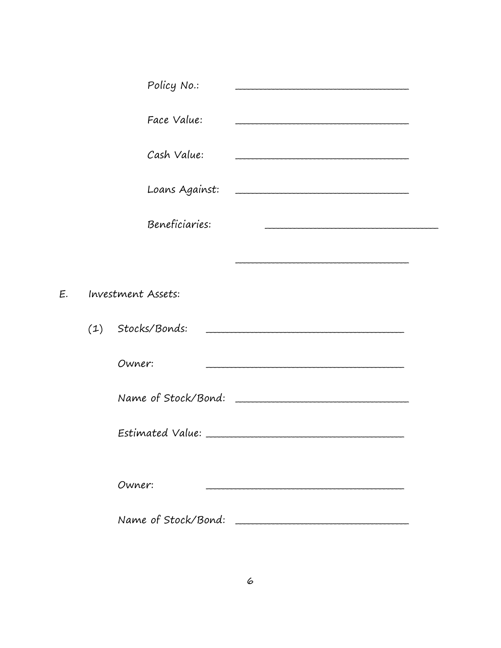| Policy No.:         |                     |  |
|---------------------|---------------------|--|
| Face Value:         |                     |  |
| Cash Value:         |                     |  |
| Loans Against:      |                     |  |
| Beneficiaries:      |                     |  |
|                     |                     |  |
| Investment Assets:  |                     |  |
| (1) Stocks/Bonds:   |                     |  |
| Owner:              |                     |  |
|                     | Name of Stock/Bond: |  |
|                     |                     |  |
| Owner:              |                     |  |
| Name of Stock/Bond: |                     |  |

E.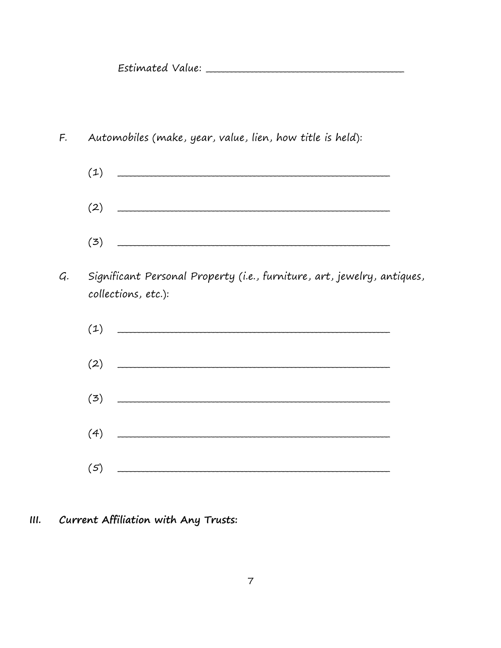Estimated Value: Estimated Value:

- Automobiles (make, year, value, lien, how title is held): F.
	- $(1)$  $(2)$
	- $(3)$
- G. Significant Personal Property (i.e., furniture, art, jewelry, antiques, collections, etc.):
	- $(1)$  $(2) \qquad \qquad \overbrace{\qquad \qquad }$  $(3)$  $(4)$  $(5)$
- Current Affiliation with Any Trusts:  $III.$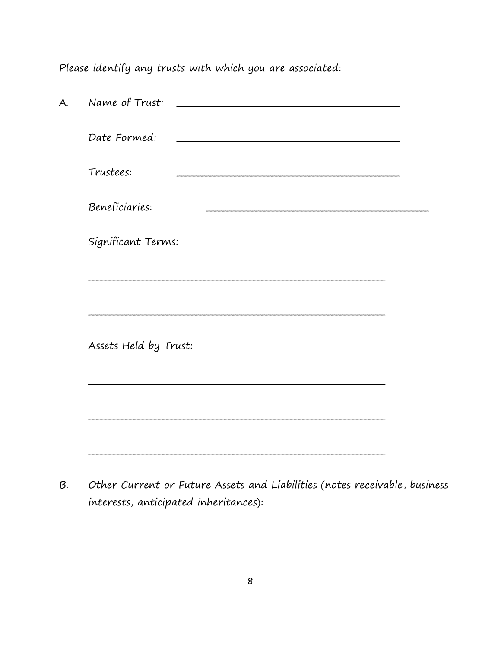Please identify any trusts with which you are associated:

| Name of Trust:        |
|-----------------------|
| Date Formed:          |
| Trustees:             |
| Beneficiaries:        |
| Significant Terms:    |
|                       |
|                       |
| Assets Held by Trust: |
|                       |
|                       |
|                       |

Other Current or Future Assets and Liabilities (notes receivable, business  $B.$ interests, anticipated inheritances):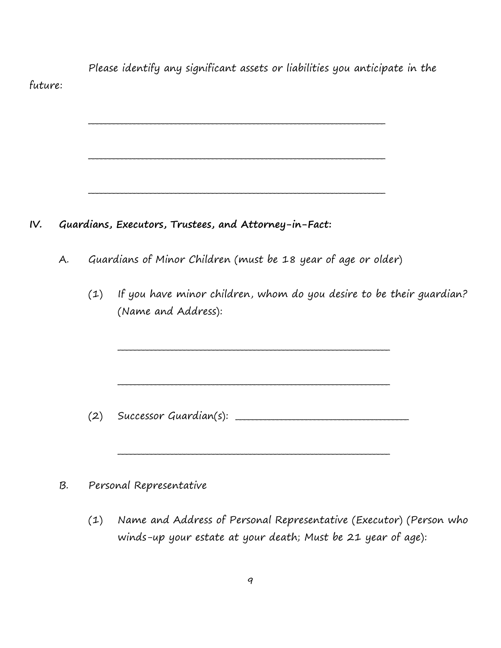Please identify any significant assets or liabilities you anticipate in the future: \_\_\_\_\_\_\_\_\_\_\_\_\_\_\_\_\_\_\_\_\_\_\_\_\_\_\_\_\_\_\_\_\_\_\_\_\_\_\_\_\_\_\_\_\_\_\_\_\_\_\_\_\_\_\_\_\_\_\_\_\_\_\_\_\_\_\_\_\_\_\_\_ \_\_\_\_\_\_\_\_\_\_\_\_\_\_\_\_\_\_\_\_\_\_\_\_\_\_\_\_\_\_\_\_\_\_\_\_\_\_\_\_\_\_\_\_\_\_\_\_\_\_\_\_\_\_\_\_\_\_\_\_\_\_\_\_\_\_\_\_\_\_\_\_ \_\_\_\_\_\_\_\_\_\_\_\_\_\_\_\_\_\_\_\_\_\_\_\_\_\_\_\_\_\_\_\_\_\_\_\_\_\_\_\_\_\_\_\_\_\_\_\_\_\_\_\_\_\_\_\_\_\_\_\_\_\_\_\_\_\_\_\_\_\_\_\_ IV. Guardians, Executors, Trustees, and Attorney-in-Fact: A. Guardians of Minor Children (must be 18 year of age or older) (1) If you have minor children, whom do you desire to be their guardian? (Name and Address): \_\_\_\_\_\_\_\_\_\_\_\_\_\_\_\_\_\_\_\_\_\_\_\_\_\_\_\_\_\_\_\_\_\_\_\_\_\_\_\_\_\_\_\_\_\_\_\_\_\_\_\_\_\_\_\_\_\_\_\_\_\_\_\_\_\_ \_\_\_\_\_\_\_\_\_\_\_\_\_\_\_\_\_\_\_\_\_\_\_\_\_\_\_\_\_\_\_\_\_\_\_\_\_\_\_\_\_\_\_\_\_\_\_\_\_\_\_\_\_\_\_\_\_\_\_\_\_\_\_\_\_\_  $(2)$  Successor Guardian(s):  $\qquad \qquad \qquad$ \_\_\_\_\_\_\_\_\_\_\_\_\_\_\_\_\_\_\_\_\_\_\_\_\_\_\_\_\_\_\_\_\_\_\_\_\_\_\_\_\_\_\_\_\_\_\_\_\_\_\_\_\_\_\_\_\_\_\_\_\_\_\_\_\_\_ B. Personal Representative (1) Name and Address of Personal Representative (Executor) (Person who winds-up your estate at your death; Must be 21 year of age):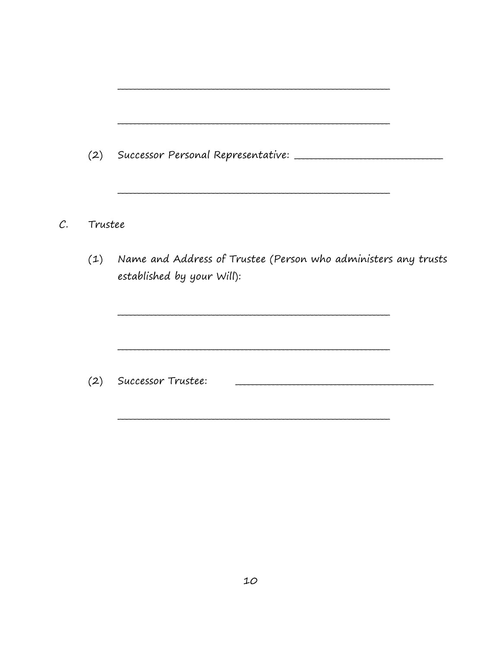| C. | Trustee |                                                                                                  |  |
|----|---------|--------------------------------------------------------------------------------------------------|--|
|    |         | (1) Name and Address of Trustee (Person who administers any trusts<br>established by your Will): |  |
|    |         |                                                                                                  |  |
|    |         | (2) Successor Trustee:                                                                           |  |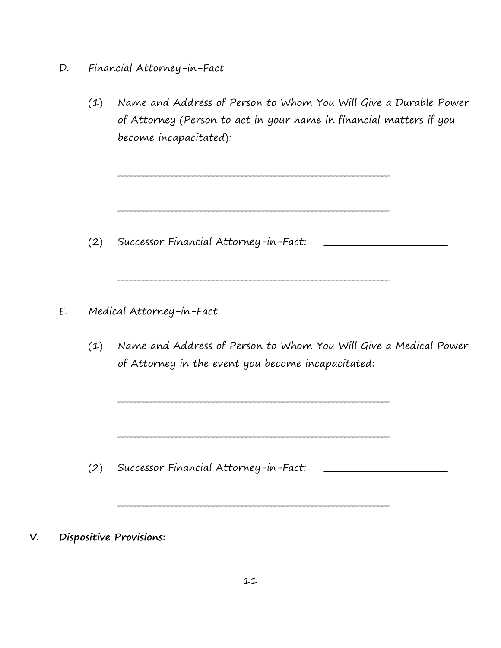- D. Financial Attorney-in-Fact
	- (1) Name and Address of Person to Whom You Will Give a Durable Power of Attorney (Person to act in your name in financial matters if you become incapacitated):

\_\_\_\_\_\_\_\_\_\_\_\_\_\_\_\_\_\_\_\_\_\_\_\_\_\_\_\_\_\_\_\_\_\_\_\_\_\_\_\_\_\_\_\_\_\_\_\_\_\_\_\_\_\_\_\_\_\_\_\_\_\_\_\_\_\_

\_\_\_\_\_\_\_\_\_\_\_\_\_\_\_\_\_\_\_\_\_\_\_\_\_\_\_\_\_\_\_\_\_\_\_\_\_\_\_\_\_\_\_\_\_\_\_\_\_\_\_\_\_\_\_\_\_\_\_\_\_\_\_\_\_\_

\_\_\_\_\_\_\_\_\_\_\_\_\_\_\_\_\_\_\_\_\_\_\_\_\_\_\_\_\_\_\_\_\_\_\_\_\_\_\_\_\_\_\_\_\_\_\_\_\_\_\_\_\_\_\_\_\_\_\_\_\_\_\_\_\_\_

\_\_\_\_\_\_\_\_\_\_\_\_\_\_\_\_\_\_\_\_\_\_\_\_\_\_\_\_\_\_\_\_\_\_\_\_\_\_\_\_\_\_\_\_\_\_\_\_\_\_\_\_\_\_\_\_\_\_\_\_\_\_\_\_\_\_

\_\_\_\_\_\_\_\_\_\_\_\_\_\_\_\_\_\_\_\_\_\_\_\_\_\_\_\_\_\_\_\_\_\_\_\_\_\_\_\_\_\_\_\_\_\_\_\_\_\_\_\_\_\_\_\_\_\_\_\_\_\_\_\_\_\_

\_\_\_\_\_\_\_\_\_\_\_\_\_\_\_\_\_\_\_\_\_\_\_\_\_\_\_\_\_\_\_\_\_\_\_\_\_\_\_\_\_\_\_\_\_\_\_\_\_\_\_\_\_\_\_\_\_\_\_\_\_\_\_\_\_\_

- (2) Successor Financial Attorney-in-Fact:
- E. Medical Attorney-in-Fact
	- (1) Name and Address of Person to Whom You Will Give a Medical Power of Attorney in the event you become incapacitated:

- (2) Successor Financial Attorney-in-Fact:
- V. Dispositive Provisions: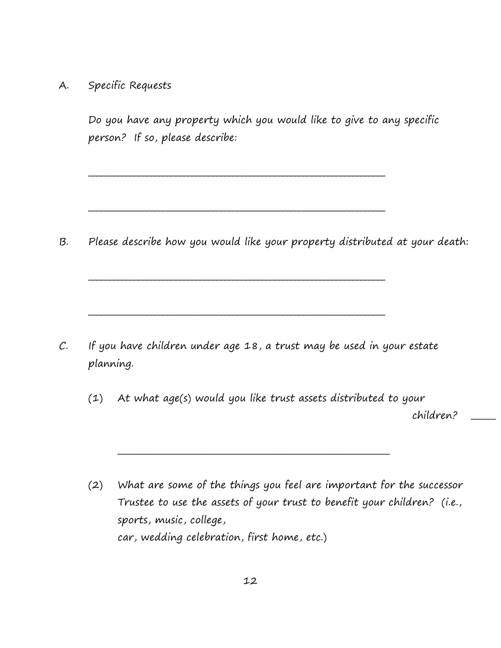A. Specific Requests

Do you have any property which you would like to give to any specific person? If so, please describe:

\_\_\_\_\_\_\_\_\_\_\_\_\_\_\_\_\_\_\_\_\_\_\_\_\_\_\_\_\_\_\_\_\_\_\_\_\_\_\_\_\_\_\_\_\_\_\_\_\_\_\_\_\_\_\_\_\_\_\_\_\_\_\_\_\_\_\_\_\_\_\_\_

\_\_\_\_\_\_\_\_\_\_\_\_\_\_\_\_\_\_\_\_\_\_\_\_\_\_\_\_\_\_\_\_\_\_\_\_\_\_\_\_\_\_\_\_\_\_\_\_\_\_\_\_\_\_\_\_\_\_\_\_\_\_\_\_\_\_\_\_\_\_\_\_

\_\_\_\_\_\_\_\_\_\_\_\_\_\_\_\_\_\_\_\_\_\_\_\_\_\_\_\_\_\_\_\_\_\_\_\_\_\_\_\_\_\_\_\_\_\_\_\_\_\_\_\_\_\_\_\_\_\_\_\_\_\_\_\_\_\_\_\_\_\_\_\_

\_\_\_\_\_\_\_\_\_\_\_\_\_\_\_\_\_\_\_\_\_\_\_\_\_\_\_\_\_\_\_\_\_\_\_\_\_\_\_\_\_\_\_\_\_\_\_\_\_\_\_\_\_\_\_\_\_\_\_\_\_\_\_\_\_\_\_\_\_\_\_\_

B. Please describe how you would like your property distributed at your death:

C. If you have children under age 18, a trust may be used in your estate planning.

(1) At what age(s) would you like trust assets distributed to your

\_\_\_\_\_\_\_\_\_\_\_\_\_\_\_\_\_\_\_\_\_\_\_\_\_\_\_\_\_\_\_\_\_\_\_\_\_\_\_\_\_\_\_\_\_\_\_\_\_\_\_\_\_\_\_\_\_\_\_\_\_\_\_\_\_\_

children? \_\_\_\_\_\_

(2) What are some of the things you feel are important for the successor Trustee to use the assets of your trust to benefit your children? (i.e., sports, music, college, car, wedding celebration, first home, etc.)